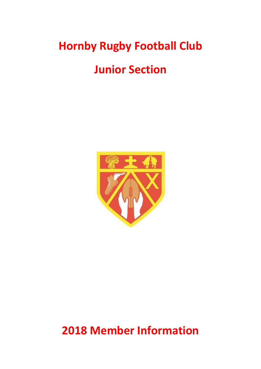# **Hornby Rugby Football Club**

# **Junior Section**



**2018 Member Information**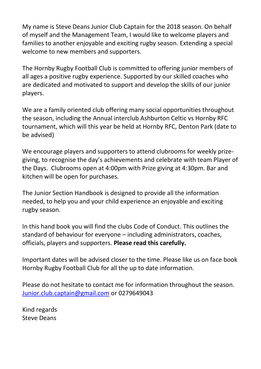My name is Steve Deans Junior Club Captain for the 2018 season. On behalf of myself and the Management Team, I would like to welcome players and families to another enjoyable and exciting rugby season. Extending a special welcome to new members and supporters.

The Hornby Rugby Football Club is committed to offering junior members of all ages a positive rugby experience. Supported by our skilled coaches who are dedicated and motivated to support and develop the skills of our junior players.

We are a family oriented club offering many social opportunities throughout the season, including the Annual interclub Ashburton Celtic vs Hornby RFC tournament, which will this year be held at Hornby RFC, Denton Park (date to be advised)

We encourage players and supporters to attend clubrooms for weekly prizegiving, to recognise the day's achievements and celebrate with team Player of the Days. Clubrooms open at 4:00pm with Prize giving at 4:30pm. Bar and kitchen will be open for purchases.

The Junior Section Handbook is designed to provide all the information needed, to help you and your child experience an enjoyable and exciting rugby season.

In this hand book you will find the clubs Code of Conduct. This outlines the standard of behaviour for everyone – including administrators, coaches, officials, players and supporters. **Please read this carefully.**

Important dates will be advised closer to the time. Please like us on face book Hornby Rugby Football Club for all the up to date information.

Please do not hesitate to contact me for information throughout the season. [Junior.club.captain@gmail.com](mailto:Junior.club.captain@gmail.com) or 0279649043

Kind regards Steve Deans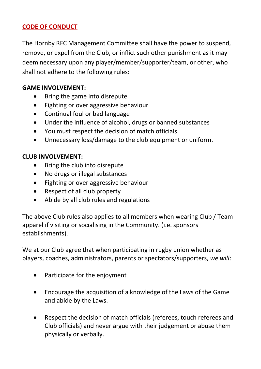# **CODE OF CONDUCT**

The Hornby RFC Management Committee shall have the power to suspend, remove, or expel from the Club, or inflict such other punishment as it may deem necessary upon any player/member/supporter/team, or other, who shall not adhere to the following rules:

## **GAME INVOLVEMENT:**

- Bring the game into disrepute
- Fighting or over aggressive behaviour
- Continual foul or bad language
- Under the influence of alcohol, drugs or banned substances
- You must respect the decision of match officials
- Unnecessary loss/damage to the club equipment or uniform.

# **CLUB INVOLVEMENT:**

- Bring the club into disrepute
- No drugs or illegal substances
- Fighting or over aggressive behaviour
- Respect of all club property
- Abide by all club rules and regulations

The above Club rules also applies to all members when wearing Club / Team apparel if visiting or socialising in the Community. (i.e. sponsors establishments).

We at our Club agree that when participating in rugby union whether as players, coaches, administrators, parents or spectators/supporters, *we will*:

- Participate for the enjoyment
- Encourage the acquisition of a knowledge of the Laws of the Game and abide by the Laws.
- Respect the decision of match officials (referees, touch referees and Club officials) and never argue with their judgement or abuse them physically or verbally.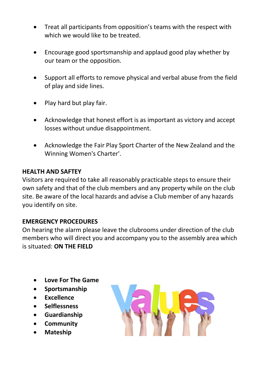- Treat all participants from opposition's teams with the respect with which we would like to be treated.
- Encourage good sportsmanship and applaud good play whether by our team or the opposition.
- Support all efforts to remove physical and verbal abuse from the field of play and side lines.
- Play hard but play fair.
- Acknowledge that honest effort is as important as victory and accept losses without undue disappointment.
- Acknowledge the Fair Play Sport Charter of the New Zealand and the Winning Women's Charter'.

## **HEALTH AND SAFTEY**

Visitors are required to take all reasonably practicable steps to ensure their own safety and that of the club members and any property while on the club site. Be aware of the local hazards and advise a Club member of any hazards you identify on site.

## **EMERGENCY PROCEDURES**

On hearing the alarm please leave the clubrooms under direction of the club members who will direct you and accompany you to the assembly area which is situated: **ON THE FIELD**

- **Love For The Game**
- **Sportsmanship**
- **Excellence**
- **Selflessness**
- **Guardianship**
- **Community**
- **Mateship**

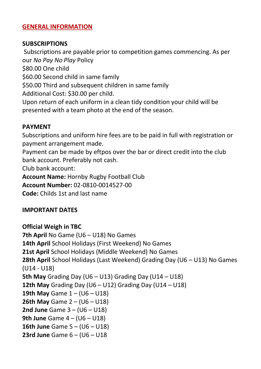## **GENERAL INFORMATION**

#### **SUBSCRIPTIONS**

Subscriptions are payable prior to competition games commencing. As per our *No Pay No Play* Policy \$80.00 One child \$60.00 Second child in same family \$50.00 Third and subsequent children in same family Additional Cost: \$30.00 per child. Upon return of each uniform in a clean tidy condition your child will be presented with a team photo at the end of the season.

#### **PAYMENT**

Subscriptions and uniform hire fees are to be paid in full with registration or payment arrangement made.

Payment can be made by eftpos over the bar or direct credit into the club bank account. Preferably not cash.

Club bank account:

**Account Name:** Hornby Rugby Football Club

**Account Number:** 02-0810-0014527-00

**Code:** Childs 1st and last name

## **IMPORTANT DATES**

**Official Weigh in TBC 7th April** No Game (U6 – U18) No Games **14th April** School Holidays (First Weekend) No Games **21st April** School Holidays (Middle Weekend) No Games **28th April** School Holidays (Last Weekend) Grading Day (U6 – U13) No Games (U14 - U18) **5th May** Grading Day (U6 – U13) Grading Day (U14 – U18) **12th May** Grading Day (U6 – U12) Grading Day (U14 – U18) **19th May** Game 1 – (U6 – U18) **26th May** Game 2 – (U6 – U18) **2nd June** Game 3 – (U6 – U18) **9th June** Game 4 – (U6 – U18) **16th June** Game 5 – (U6 – U18) **23rd June** Game 6 – (U6 – U18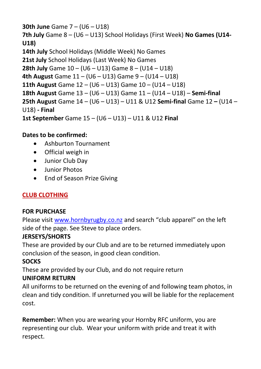# **30th June** Game 7 – (U6 – U18) **7th July** Game 8 – (U6 – U13) School Holidays (First Week) **No Games (U14- U18) 14th July** School Holidays (Middle Week) No Games **21st July** School Holidays (Last Week) No Games **28th July** Game 10 – (U6 – U13) Game 8 – (U14 – U18) **4th August** Game 11 – (U6 – U13) Game 9 – (U14 – U18) **11th August** Game 12 – (U6 – U13) Game 10 – (U14 – U18) **18th August** Game 13 – (U6 – U13) Game 11 – (U14 – U18) – **Semi-final 25th August** Game 14 – (U6 – U13) – U11 & U12 **Semi-final** Game 12 **–** (U14 – U18) **- Final 1st September** Game 15 – (U6 – U13) – U11 & U12 **Final**

# **Dates to be confirmed:**

- Ashburton Tournament
- Official weigh in
- Junior Club Day
- Junior Photos
- End of Season Prize Giving

# **CLUB CLOTHING**

# **FOR PURCHASE**

Please visi[t www.hornbyrugby.co.nz](http://www.hornbyrugby.co.nz/) and search "club apparel" on the left side of the page. See Steve to place orders.

# **JERSEYS/SHORTS**

These are provided by our Club and are to be returned immediately upon conclusion of the season, in good clean condition.

# **SOCKS**

These are provided by our Club, and do not require return

# **UNIFORM RETURN**

All uniforms to be returned on the evening of and following team photos, in clean and tidy condition. If unreturned you will be liable for the replacement cost.

**Remember:** When you are wearing your Hornby RFC uniform, you are representing our club. Wear your uniform with pride and treat it with respect.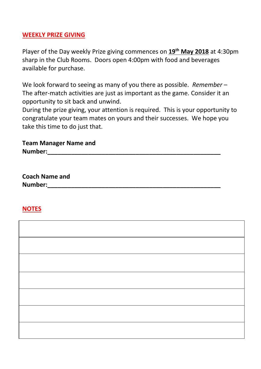### **WEEKLY PRIZE GIVING**

Player of the Day weekly Prize giving commences on **19th May 2018** at 4:30pm sharp in the Club Rooms. Doors open 4:00pm with food and beverages available for purchase.

We look forward to seeing as many of you there as possible. *Remember* – The after-match activities are just as important as the game. Consider it an opportunity to sit back and unwind.

During the prize giving, your attention is required. This is your opportunity to congratulate your team mates on yours and their successes. We hope you take this time to do just that.

## **Team Manager Name and**  Number:

**Coach Name and**  Number:

## **NOTES**